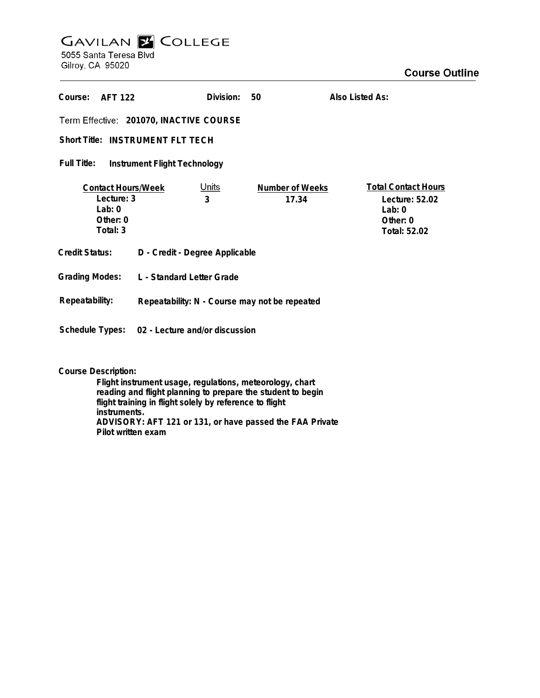## **GAVILAN Z COLLEGE** 5055 Santa Teresa Blvd

Gilroy, CA 95020

| Course:<br><b>AFT 122</b>                                                   |                                                | Division:         | 50                       | Also Listed As:                                                                        |
|-----------------------------------------------------------------------------|------------------------------------------------|-------------------|--------------------------|----------------------------------------------------------------------------------------|
| Term Effective: 201070, INACTIVE COURSE                                     |                                                |                   |                          |                                                                                        |
| Short Title: INSTRUMENT FLT TECH                                            |                                                |                   |                          |                                                                                        |
| Full Title:<br>Instrument Flight Technology                                 |                                                |                   |                          |                                                                                        |
| <b>Contact Hours/Week</b><br>Lecture: 3<br>Lab: $0$<br>Other: 0<br>Total: 3 |                                                | <u>Units</u><br>3 | Number of Weeks<br>17.34 | <b>Total Contact Hours</b><br>Lecture: 52.02<br>Lab: $0$<br>Other: $0$<br>Total: 52.02 |
| Credit Status:                                                              | D - Credit - Degree Applicable                 |                   |                          |                                                                                        |
| <b>Grading Modes:</b>                                                       | L - Standard Letter Grade                      |                   |                          |                                                                                        |
| Repeatability:                                                              | Repeatability: N - Course may not be repeated  |                   |                          |                                                                                        |
|                                                                             | Schedule Types: 02 - Lecture and/or discussion |                   |                          |                                                                                        |

**Course Description:**

**Flight instrument usage, regulations, meteorology, chart reading and flight planning to prepare the student to begin flight training in flight solely by reference to flight instruments. ADVISORY: AFT 121 or 131, or have passed the FAA Private Pilot written exam**